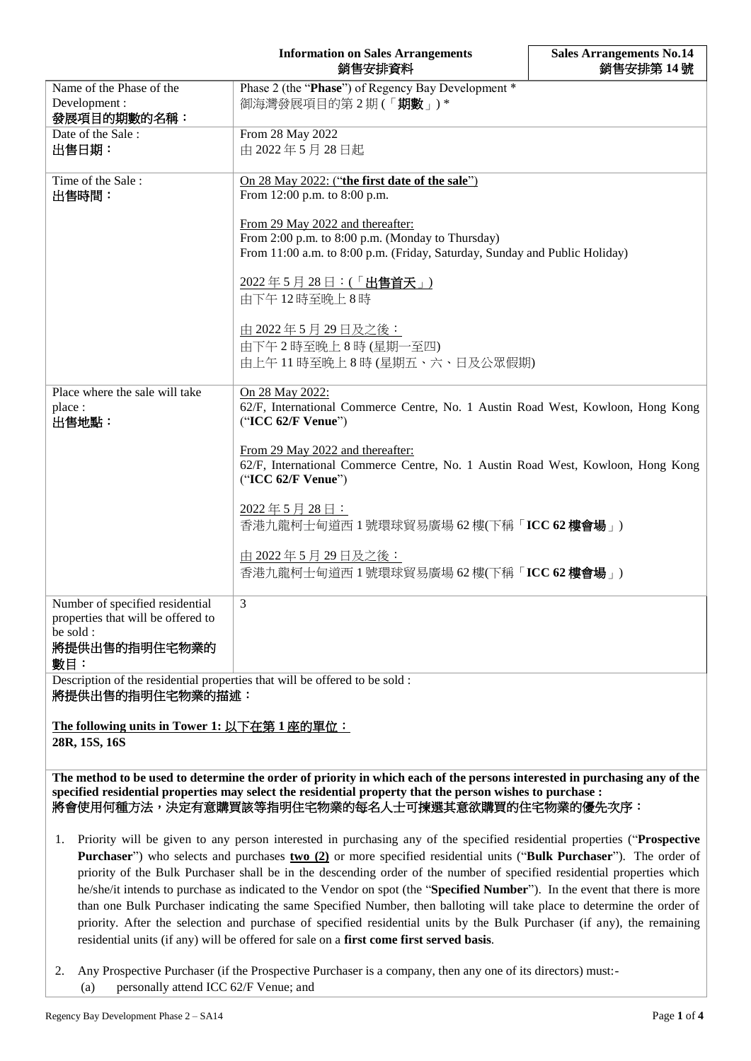**Sales Arrangements No.14** 銷售安排第 **14** 號

| Name of the Phase of the<br>Development:<br>發展項目的期數的名稱:                                                   | Phase 2 (the "Phase") of Regency Bay Development *<br>御海灣發展項目的第2期(「期數」)*                                                                                           |
|-----------------------------------------------------------------------------------------------------------|--------------------------------------------------------------------------------------------------------------------------------------------------------------------|
| Date of the Sale:<br>出售日期:                                                                                | From 28 May 2022<br>由 2022年5月28日起                                                                                                                                  |
| Time of the Sale:<br>出售時間:                                                                                | On 28 May 2022: ("the first date of the sale")<br>From 12:00 p.m. to 8:00 p.m.                                                                                     |
|                                                                                                           | From 29 May 2022 and thereafter:<br>From 2:00 p.m. to 8:00 p.m. (Monday to Thursday)<br>From 11:00 a.m. to 8:00 p.m. (Friday, Saturday, Sunday and Public Holiday) |
|                                                                                                           | 2022年5月28日:(「出售首天」)<br>由下午12時至晚上8時                                                                                                                                 |
|                                                                                                           | <u>由 2022年5月29日及之後:</u><br>由下午2時至晚上8時(星期一至四)<br>由上午11時至晚上8時(星期五、六、日及公眾假期)                                                                                          |
| Place where the sale will take<br>place:<br>出售地點:                                                         | On 28 May 2022:<br>62/F, International Commerce Centre, No. 1 Austin Road West, Kowloon, Hong Kong<br>("ICC 62/F Venue")                                           |
|                                                                                                           | From 29 May 2022 and thereafter:<br>62/F, International Commerce Centre, No. 1 Austin Road West, Kowloon, Hong Kong<br>("ICC 62/F Venue")                          |
|                                                                                                           | 2022年5月28日:<br>香港九龍柯士甸道西 1 號環球貿易廣場 62 樓(下稱「ICC 62 <b>樓會場</b> 」)                                                                                                    |
|                                                                                                           | <u>由 2022年5月29日及之後:</u><br>香港九龍柯士甸道西 1 號環球貿易廣場 62 樓(下稱「ICC 62 樓會場」)                                                                                                |
| Number of specified residential<br>properties that will be offered to<br>be sold:<br>將提供出售的指明住宅物業的<br>數目: | $\mathfrak{Z}$                                                                                                                                                     |
| Description of the residential properties that will be offered to be sold:<br>將提供出售的指明住宅物業的描述:            |                                                                                                                                                                    |
| The following units in Tower 1: 以下在第 1 座的單位:<br>28R, 15S, 16S                                             |                                                                                                                                                                    |

**The method to be used to determine the order of priority in which each of the persons interested in purchasing any of the specified residential properties may select the residential property that the person wishes to purchase :** 將會使用何種方法,決定有意購買該等指明住宅物業的每名人士可揀選其意欲購買的住宅物業的優先次序:

- 1. Priority will be given to any person interested in purchasing any of the specified residential properties ("**Prospective Purchaser**") who selects and purchases **two (2)** or more specified residential units ("**Bulk Purchaser**"). The order of priority of the Bulk Purchaser shall be in the descending order of the number of specified residential properties which he/she/it intends to purchase as indicated to the Vendor on spot (the "**Specified Number**"). In the event that there is more than one Bulk Purchaser indicating the same Specified Number, then balloting will take place to determine the order of priority. After the selection and purchase of specified residential units by the Bulk Purchaser (if any), the remaining residential units (if any) will be offered for sale on a **first come first served basis**.
- 2. Any Prospective Purchaser (if the Prospective Purchaser is a company, then any one of its directors) must:- (a) personally attend ICC 62/F Venue; and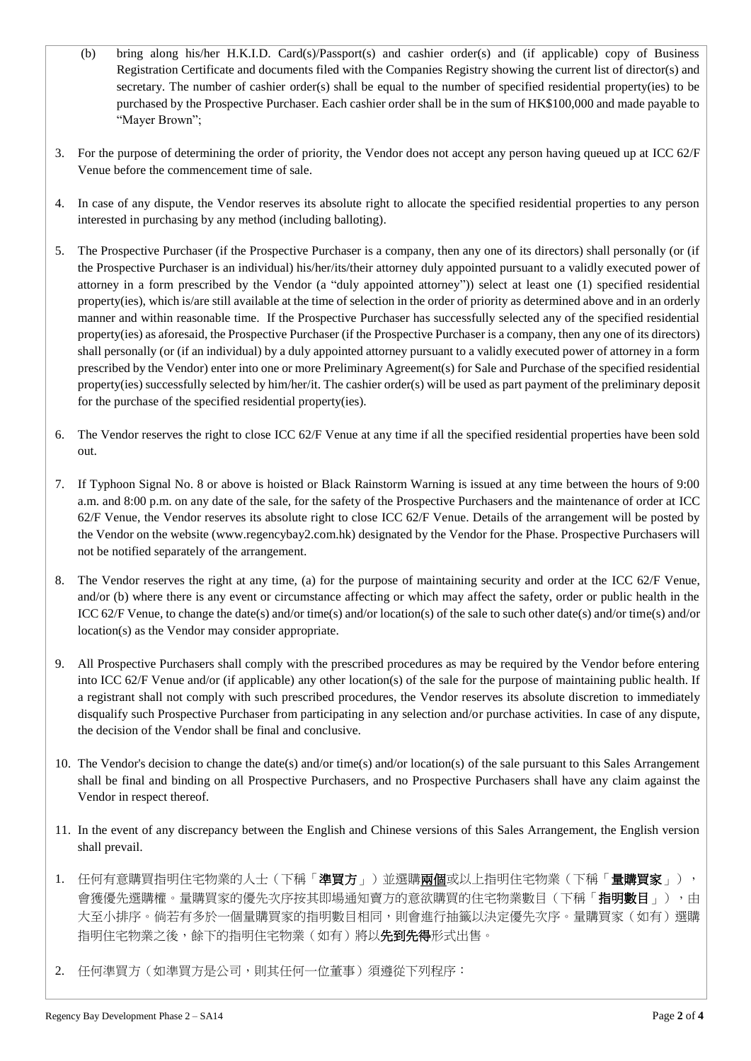- (b) bring along his/her H.K.I.D. Card(s)/Passport(s) and cashier order(s) and (if applicable) copy of Business Registration Certificate and documents filed with the Companies Registry showing the current list of director(s) and secretary. The number of cashier order(s) shall be equal to the number of specified residential property(ies) to be purchased by the Prospective Purchaser. Each cashier order shall be in the sum of HK\$100,000 and made payable to "Mayer Brown";
- 3. For the purpose of determining the order of priority, the Vendor does not accept any person having queued up at ICC 62/F Venue before the commencement time of sale.
- 4. In case of any dispute, the Vendor reserves its absolute right to allocate the specified residential properties to any person interested in purchasing by any method (including balloting).
- 5. The Prospective Purchaser (if the Prospective Purchaser is a company, then any one of its directors) shall personally (or (if the Prospective Purchaser is an individual) his/her/its/their attorney duly appointed pursuant to a validly executed power of attorney in a form prescribed by the Vendor (a "duly appointed attorney")) select at least one (1) specified residential property(ies), which is/are still available at the time of selection in the order of priority as determined above and in an orderly manner and within reasonable time. If the Prospective Purchaser has successfully selected any of the specified residential property(ies) as aforesaid, the Prospective Purchaser (if the Prospective Purchaser is a company, then any one of its directors) shall personally (or (if an individual) by a duly appointed attorney pursuant to a validly executed power of attorney in a form prescribed by the Vendor) enter into one or more Preliminary Agreement(s) for Sale and Purchase of the specified residential property(ies) successfully selected by him/her/it. The cashier order(s) will be used as part payment of the preliminary deposit for the purchase of the specified residential property(ies).
- 6. The Vendor reserves the right to close ICC 62/F Venue at any time if all the specified residential properties have been sold out.
- 7. If Typhoon Signal No. 8 or above is hoisted or Black Rainstorm Warning is issued at any time between the hours of 9:00 a.m. and 8:00 p.m. on any date of the sale, for the safety of the Prospective Purchasers and the maintenance of order at ICC 62/F Venue, the Vendor reserves its absolute right to close ICC 62/F Venue. Details of the arrangement will be posted by the Vendor on the website (www.regencybay2.com.hk) designated by the Vendor for the Phase. Prospective Purchasers will not be notified separately of the arrangement.
- 8. The Vendor reserves the right at any time, (a) for the purpose of maintaining security and order at the ICC 62/F Venue, and/or (b) where there is any event or circumstance affecting or which may affect the safety, order or public health in the ICC 62/F Venue, to change the date(s) and/or time(s) and/or location(s) of the sale to such other date(s) and/or time(s) and/or location(s) as the Vendor may consider appropriate.
- 9. All Prospective Purchasers shall comply with the prescribed procedures as may be required by the Vendor before entering into ICC 62/F Venue and/or (if applicable) any other location(s) of the sale for the purpose of maintaining public health. If a registrant shall not comply with such prescribed procedures, the Vendor reserves its absolute discretion to immediately disqualify such Prospective Purchaser from participating in any selection and/or purchase activities. In case of any dispute, the decision of the Vendor shall be final and conclusive.
- 10. The Vendor's decision to change the date(s) and/or time(s) and/or location(s) of the sale pursuant to this Sales Arrangement shall be final and binding on all Prospective Purchasers, and no Prospective Purchasers shall have any claim against the Vendor in respect thereof.
- 11. In the event of any discrepancy between the English and Chinese versions of this Sales Arrangement, the English version shall prevail.
- 1. 任何有意購買指明住宅物業的人士(下稱「**準買方**」)並選購**兩個**或以上指明住宅物業(下稱「**量購買家**」), 會獲優先選購權。量購買家的優先次序按其即場通知賣方的意欲購買的住宅物業數目(下稱「**指明數目**」),由 大至小排序。倘若有多於一個量購買家的指明數目相同,則會進行抽籤以決定優先次序。量購買家(如有)選購 指明住宅物業之後,餘下的指明住宅物業(如有)將以**先到先得**形式出售。
- 2. 任何準買方(如準買方是公司,則其任何一位董事)須遵從下列程序: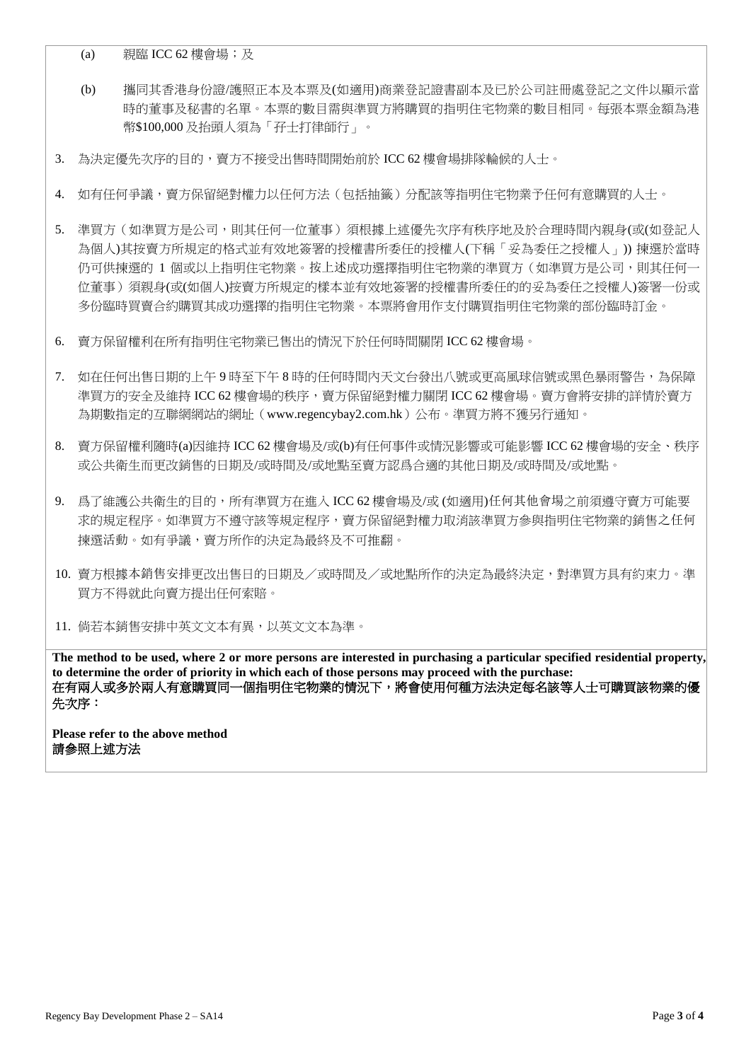(a) 親臨 ICC 62 樓會場; 及

- (b) 攜同其香港身份證/護照正本及本票及(如適用)商業登記證書副本及已於公司註冊處登記之文件以顯示當 時的董事及秘書的名單。本票的數目需與準買方將購買的指明住宅物業的數目相同。每張本票金額為港 幣\$100,000 及抬頭人須為「孖士打律師行」。
- 3. 為決定優先次序的目的,賣方不接受出售時間開始前於 ICC 62 樓會場排隊輪候的人士。
- 4. 如有任何爭議,賣方保留絕對權力以任何方法(包括抽籤)分配該等指明住宅物業予任何有意購買的人士。
- 5. 進買方(如進買方是公司,則其任何一位董事)須根據上述優先次序有秩序地及於合理時間內親身(或(如登記人 為個人)其按賣方所規定的格式並有效地簽署的授權書所委任的授權人(下稱「妥為委任之授權人」)) 揀選於當時 仍可供揀選的 1 個或以上指明住宅物業。按上述成功選擇指明住宅物業的準買方(如準買方是公司,則其任何一 位董事)須親身(或(如個人)按賣方所規定的樣本並有效地簽署的授權書所委任的的妥為委任之授權人)簽署一份或 多份臨時買賣合約購買其成功選擇的指明住宅物業。本票將會用作支付購買指明住宅物業的部份臨時訂金。
- 6. 賣方保留權利在所有指明住宅物業已售出的情況下於任何時間關閉 ICC 62 樓會場。
- 7. 如在任何出售日期的上午 9 時至下午 8 時的任何時間內天文台發出八號或更高風球信號或黑色暴雨警告,為保障 進買方的安全及維持 ICC 62 樓會場的秩序,賣方保留絕對權力關閉 ICC 62 樓會場。賣方會將安排的詳情於賣方 為期數指定的互聯網網站的網址(www.regencybay2.com.hk)公布。準買方將不獲另行通知。
- 8. 賣方保留權利隨時(a)因維持 ICC 62 樓會場及/或(b)有任何事件或情況影響或可能影響 ICC 62 樓會場的安全、秩序 或公共衛生而更改銷售的日期及/或時間及/或地點至賣方認爲合適的其他日期及/或時間及/或地點。
- 9. 爲了維護公共衛生的目的,所有準買方在進入 ICC 62 樓會場及/或 (如適用)任何其他會場之前須遵守賣方可能要 求的規定程序。如準買方不遵守該等規定程序,賣方保留絕對權力取消該準買方參與指明住宅物業的銷售之任何 揀選活動。如有爭議,賣方所作的決定為最終及不可推翻。
- 10. 賣方根據本銷售安排更改出售日的日期及/或時間及/或地點所作的決定為最終決定,對準買方具有約束力。準 買方不得就此向賣方提出任何索賠。

11. 倘若本銷售安排中英文文本有異,以英文文本為準。

**The method to be used, where 2 or more persons are interested in purchasing a particular specified residential property, to determine the order of priority in which each of those persons may proceed with the purchase:** 在有兩人或多於兩人有意購買同一個指明住宅物業的情況下,將會使用何種方法決定每名該等人士可購買該物業的優 先次序:

**Please refer to the above method** 請參照上述方法